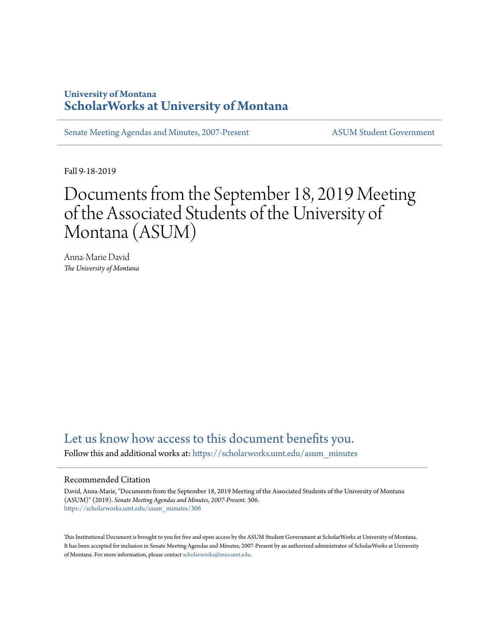## **University of Montana [ScholarWorks at University of Montana](https://scholarworks.umt.edu/?utm_source=scholarworks.umt.edu%2Fasum_minutes%2F306&utm_medium=PDF&utm_campaign=PDFCoverPages)**

[Senate Meeting Agendas and Minutes, 2007-Present](https://scholarworks.umt.edu/asum_minutes?utm_source=scholarworks.umt.edu%2Fasum_minutes%2F306&utm_medium=PDF&utm_campaign=PDFCoverPages) [ASUM Student Government](https://scholarworks.umt.edu/student_government?utm_source=scholarworks.umt.edu%2Fasum_minutes%2F306&utm_medium=PDF&utm_campaign=PDFCoverPages)

Fall 9-18-2019

# Documents from the September 18, 2019 Meeting of the Associated Students of the University of Montana (ASUM)

Anna-Marie David *The University of Montana*

## [Let us know how access to this document benefits you.](https://goo.gl/forms/s2rGfXOLzz71qgsB2)

Follow this and additional works at: [https://scholarworks.umt.edu/asum\\_minutes](https://scholarworks.umt.edu/asum_minutes?utm_source=scholarworks.umt.edu%2Fasum_minutes%2F306&utm_medium=PDF&utm_campaign=PDFCoverPages)

#### Recommended Citation

David, Anna-Marie, "Documents from the September 18, 2019 Meeting of the Associated Students of the University of Montana (ASUM)" (2019). *Senate Meeting Agendas and Minutes, 2007-Present*. 306. [https://scholarworks.umt.edu/asum\\_minutes/306](https://scholarworks.umt.edu/asum_minutes/306?utm_source=scholarworks.umt.edu%2Fasum_minutes%2F306&utm_medium=PDF&utm_campaign=PDFCoverPages)

This Institutional Document is brought to you for free and open access by the ASUM Student Government at ScholarWorks at University of Montana. It has been accepted for inclusion in Senate Meeting Agendas and Minutes, 2007-Present by an authorized administrator of ScholarWorks at University of Montana. For more information, please contact [scholarworks@mso.umt.edu](mailto:scholarworks@mso.umt.edu).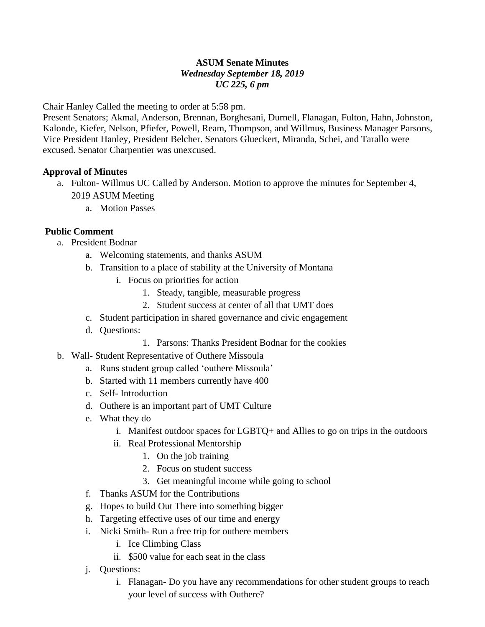#### **ASUM Senate Minutes** *Wednesday September 18, 2019 UC 225, 6 pm*

Chair Hanley Called the meeting to order at 5:58 pm.

Present Senators; Akmal, Anderson, Brennan, Borghesani, Durnell, Flanagan, Fulton, Hahn, Johnston, Kalonde, Kiefer, Nelson, Pfiefer, Powell, Ream, Thompson, and Willmus, Business Manager Parsons, Vice President Hanley, President Belcher. Senators Glueckert, Miranda, Schei, and Tarallo were excused. Senator Charpentier was unexcused.

#### **Approval of Minutes**

- a. Fulton- Willmus UC Called by Anderson. Motion to approve the minutes for September 4, 2019 ASUM Meeting
	- a. Motion Passes

#### **Public Comment**

- a. President Bodnar
	- a. Welcoming statements, and thanks ASUM
	- b. Transition to a place of stability at the University of Montana
		- i. Focus on priorities for action
			- 1. Steady, tangible, measurable progress
			- 2. Student success at center of all that UMT does
	- c. Student participation in shared governance and civic engagement
	- d. Questions:
		- 1. Parsons: Thanks President Bodnar for the cookies
- b. Wall- Student Representative of Outhere Missoula
	- a. Runs student group called 'outhere Missoula'
	- b. Started with 11 members currently have 400
	- c. Self- Introduction
	- d. Outhere is an important part of UMT Culture
	- e. What they do
		- i. Manifest outdoor spaces for LGBTQ+ and Allies to go on trips in the outdoors
		- ii. Real Professional Mentorship
			- 1. On the job training
			- 2. Focus on student success
			- 3. Get meaningful income while going to school
	- f. Thanks ASUM for the Contributions
	- g. Hopes to build Out There into something bigger
	- h. Targeting effective uses of our time and energy
	- i. Nicki Smith- Run a free trip for outhere members
		- i. Ice Climbing Class
		- ii. \$500 value for each seat in the class
	- j. Questions:
		- i. Flanagan- Do you have any recommendations for other student groups to reach your level of success with Outhere?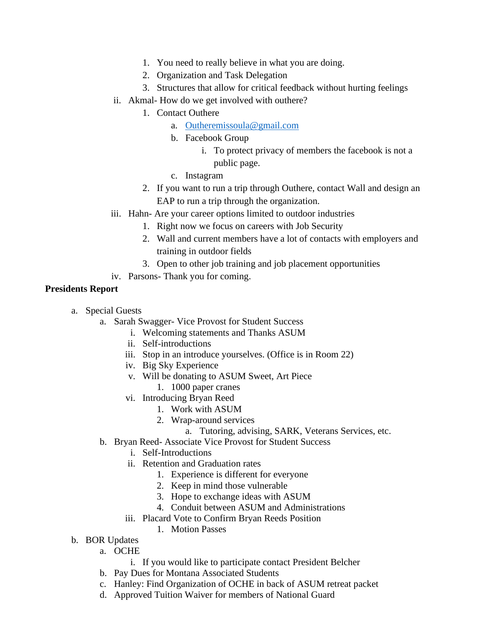- 1. You need to really believe in what you are doing.
- 2. Organization and Task Delegation
- 3. Structures that allow for critical feedback without hurting feelings
- ii. Akmal- How do we get involved with outhere?
	- 1. Contact Outhere
		- a. [Outheremissoula@gmail.com](mailto:Outheremissoula@gmail.com)
		- b. Facebook Group
			- i. To protect privacy of members the facebook is not a public page.
		- c. Instagram
	- 2. If you want to run a trip through Outhere, contact Wall and design an EAP to run a trip through the organization.
- iii. Hahn- Are your career options limited to outdoor industries
	- 1. Right now we focus on careers with Job Security
	- 2. Wall and current members have a lot of contacts with employers and training in outdoor fields
	- 3. Open to other job training and job placement opportunities
- iv. Parsons- Thank you for coming.

#### **Presidents Report**

- a. Special Guests
	- a. Sarah Swagger- Vice Provost for Student Success
		- i. Welcoming statements and Thanks ASUM
		- ii. Self-introductions
		- iii. Stop in an introduce yourselves. (Office is in Room 22)
		- iv. Big Sky Experience
		- v. Will be donating to ASUM Sweet, Art Piece
			- 1. 1000 paper cranes
		- vi. Introducing Bryan Reed
			- 1. Work with ASUM
			- 2. Wrap-around services
				- a. Tutoring, advising, SARK, Veterans Services, etc.
	- b. Bryan Reed- Associate Vice Provost for Student Success
		- i. Self-Introductions
			- ii. Retention and Graduation rates
				- 1. Experience is different for everyone
				- 2. Keep in mind those vulnerable
				- 3. Hope to exchange ideas with ASUM
				- 4. Conduit between ASUM and Administrations
		- iii. Placard Vote to Confirm Bryan Reeds Position
			- 1. Motion Passes
- b. BOR Updates
	- a. OCHE
		- i. If you would like to participate contact President Belcher
	- b. Pay Dues for Montana Associated Students
	- c. Hanley: Find Organization of OCHE in back of ASUM retreat packet
	- d. Approved Tuition Waiver for members of National Guard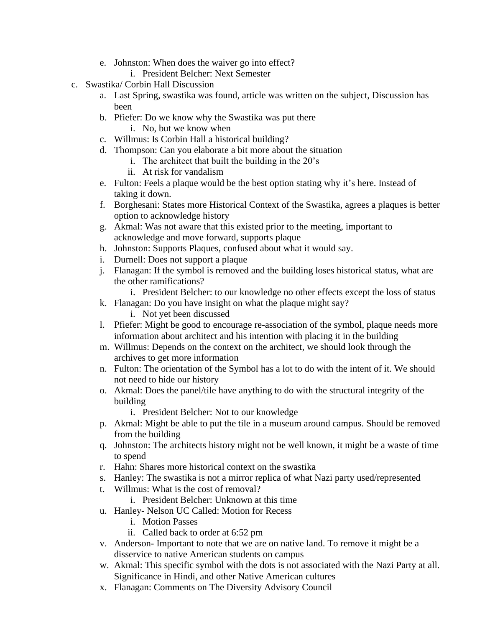- e. Johnston: When does the waiver go into effect?
	- i. President Belcher: Next Semester
- c. Swastika/ Corbin Hall Discussion
	- a. Last Spring, swastika was found, article was written on the subject, Discussion has been
	- b. Pfiefer: Do we know why the Swastika was put there i. No, but we know when
	- c. Willmus: Is Corbin Hall a historical building?
	- d. Thompson: Can you elaborate a bit more about the situation
		- i. The architect that built the building in the 20's
		- ii. At risk for vandalism
	- e. Fulton: Feels a plaque would be the best option stating why it's here. Instead of taking it down.
	- f. Borghesani: States more Historical Context of the Swastika, agrees a plaques is better option to acknowledge history
	- g. Akmal: Was not aware that this existed prior to the meeting, important to acknowledge and move forward, supports plaque
	- h. Johnston: Supports Plaques, confused about what it would say.
	- i. Durnell: Does not support a plaque
	- j. Flanagan: If the symbol is removed and the building loses historical status, what are the other ramifications?
		- i. President Belcher: to our knowledge no other effects except the loss of status
	- k. Flanagan: Do you have insight on what the plaque might say?
		- i. Not yet been discussed
	- l. Pfiefer: Might be good to encourage re-association of the symbol, plaque needs more information about architect and his intention with placing it in the building
	- m. Willmus: Depends on the context on the architect, we should look through the archives to get more information
	- n. Fulton: The orientation of the Symbol has a lot to do with the intent of it. We should not need to hide our history
	- o. Akmal: Does the panel/tile have anything to do with the structural integrity of the building
		- i. President Belcher: Not to our knowledge
	- p. Akmal: Might be able to put the tile in a museum around campus. Should be removed from the building
	- q. Johnston: The architects history might not be well known, it might be a waste of time to spend
	- r. Hahn: Shares more historical context on the swastika
	- s. Hanley: The swastika is not a mirror replica of what Nazi party used/represented
	- t. Willmus: What is the cost of removal?
		- i. President Belcher: Unknown at this time
	- u. Hanley- Nelson UC Called: Motion for Recess
		- i. Motion Passes
		- ii. Called back to order at 6:52 pm
	- v. Anderson- Important to note that we are on native land. To remove it might be a disservice to native American students on campus
	- w. Akmal: This specific symbol with the dots is not associated with the Nazi Party at all. Significance in Hindi, and other Native American cultures
	- x. Flanagan: Comments on The Diversity Advisory Council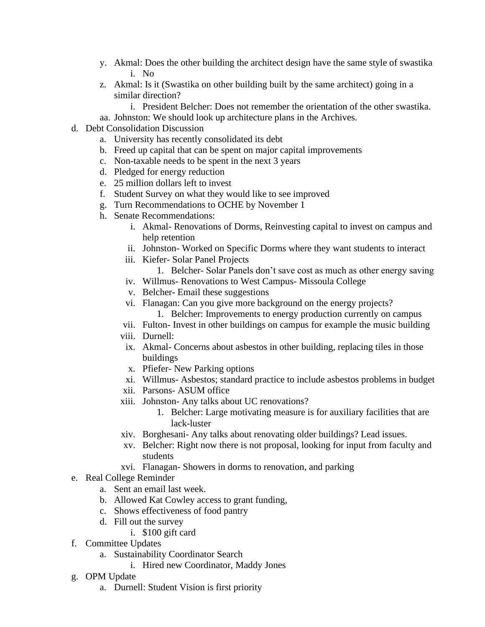- y. Akmal: Does the other building the architect design have the same style of swastika i. No
- z. Akmal: Is it (Swastika on other building built by the same architect) going in a similar direction?
	- i. President Belcher: Does not remember the orientation of the other swastika.
- aa. Johnston: We should look up architecture plans in the Archives.
- d. Debt Consolidation Discussion
	- a. University has recently consolidated its debt
	- b. Freed up capital that can be spent on major capital improvements
	- c. Non-taxable needs to be spent in the next 3 years
	- d. Pledged for energy reduction
	- e. 25 million dollars left to invest
	- f. Student Survey on what they would like to see improved
	- g. Turn Recommendations to OCHE by November 1
	- h. Senate Recommendations:
		- i. Akmal- Renovations of Dorms, Reinvesting capital to invest on campus and help retention
		- ii. Johnston- Worked on Specific Dorms where they want students to interact
		- iii. Kiefer- Solar Panel Projects
			- 1. Belcher- Solar Panels don't save cost as much as other energy saving
		- iv. Willmus- Renovations to West Campus- Missoula College
		- v. Belcher- Email these suggestions
		- vi. Flanagan: Can you give more background on the energy projects?
			- 1. Belcher: Improvements to energy production currently on campus
		- vii. Fulton- Invest in other buildings on campus for example the music building
		- viii. Durnell:
		- ix. Akmal- Concerns about asbestos in other building, replacing tiles in those buildings
		- x. Pfiefer- New Parking options
		- xi. Willmus- Asbestos; standard practice to include asbestos problems in budget
		- xii. Parsons- ASUM office
		- xiii. Johnston- Any talks about UC renovations?
			- 1. Belcher: Large motivating measure is for auxiliary facilities that are lack-luster
		- xiv. Borghesani- Any talks about renovating older buildings? Lead issues.
		- xv. Belcher: Right now there is not proposal, looking for input from faculty and students
		- xvi. Flanagan- Showers in dorms to renovation, and parking
- e. Real College Reminder
	- a. Sent an email last week.
	- b. Allowed Kat Cowley access to grant funding,
	- c. Shows effectiveness of food pantry
	- d. Fill out the survey
		- i. \$100 gift card
- f. Committee Updates
	- a. Sustainability Coordinator Search
		- i. Hired new Coordinator, Maddy Jones
- g. OPM Update
	- a. Durnell: Student Vision is first priority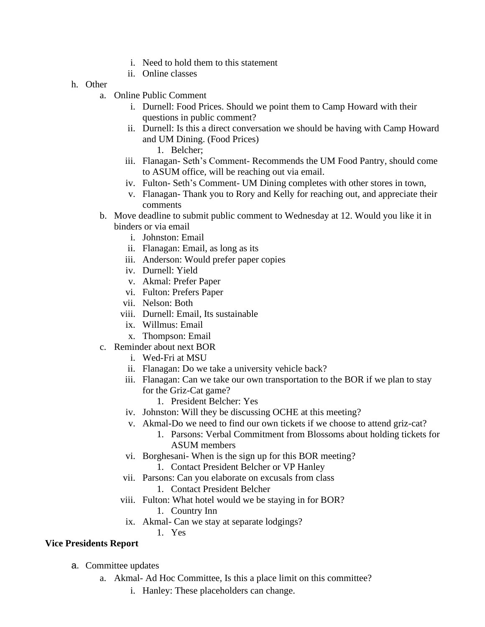- i. Need to hold them to this statement
- ii. Online classes
- h. Other
	- a. Online Public Comment
		- i. Durnell: Food Prices. Should we point them to Camp Howard with their questions in public comment?
		- ii. Durnell: Is this a direct conversation we should be having with Camp Howard and UM Dining. (Food Prices)
			- 1. Belcher;
		- iii. Flanagan- Seth's Comment- Recommends the UM Food Pantry, should come to ASUM office, will be reaching out via email.
		- iv. Fulton- Seth's Comment- UM Dining completes with other stores in town,
		- v. Flanagan- Thank you to Rory and Kelly for reaching out, and appreciate their comments
	- b. Move deadline to submit public comment to Wednesday at 12. Would you like it in binders or via email
		- i. Johnston: Email
		- ii. Flanagan: Email, as long as its
		- iii. Anderson: Would prefer paper copies
		- iv. Durnell: Yield
		- v. Akmal: Prefer Paper
		- vi. Fulton: Prefers Paper
		- vii. Nelson: Both
		- viii. Durnell: Email, Its sustainable
		- ix. Willmus: Email
		- x. Thompson: Email
	- c. Reminder about next BOR
		- i. Wed-Fri at MSU
		- ii. Flanagan: Do we take a university vehicle back?
		- iii. Flanagan: Can we take our own transportation to the BOR if we plan to stay for the Griz-Cat game?
			- 1. President Belcher: Yes
		- iv. Johnston: Will they be discussing OCHE at this meeting?
		- v. Akmal-Do we need to find our own tickets if we choose to attend griz-cat?
			- 1. Parsons: Verbal Commitment from Blossoms about holding tickets for ASUM members
		- vi. Borghesani- When is the sign up for this BOR meeting?
			- 1. Contact President Belcher or VP Hanley
		- vii. Parsons: Can you elaborate on excusals from class
			- 1. Contact President Belcher
		- viii. Fulton: What hotel would we be staying in for BOR?
			- 1. Country Inn
			- ix. Akmal- Can we stay at separate lodgings?
				- 1. Yes

#### **Vice Presidents Report**

- a. Committee updates
	- a. Akmal- Ad Hoc Committee, Is this a place limit on this committee?
		- i. Hanley: These placeholders can change.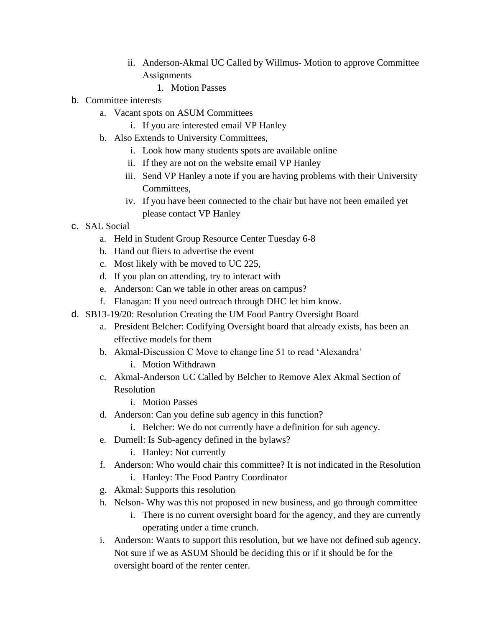- ii. Anderson-Akmal UC Called by Willmus- Motion to approve Committee **Assignments** 
	- 1. Motion Passes
- b. Committee interests
	- a. Vacant spots on ASUM Committees
		- i. If you are interested email VP Hanley
	- b. Also Extends to University Committees,
		- i. Look how many students spots are available online
		- ii. If they are not on the website email VP Hanley
		- iii. Send VP Hanley a note if you are having problems with their University Committees,
		- iv. If you have been connected to the chair but have not been emailed yet please contact VP Hanley
- c. SAL Social
	- a. Held in Student Group Resource Center Tuesday 6-8
	- b. Hand out fliers to advertise the event
	- c. Most likely with be moved to UC 225,
	- d. If you plan on attending, try to interact with
	- e. Anderson: Can we table in other areas on campus?
	- f. Flanagan: If you need outreach through DHC let him know.
- d. SB13-19/20: Resolution Creating the UM Food Pantry Oversight Board
	- a. President Belcher: Codifying Oversight board that already exists, has been an effective models for them
	- b. Akmal-Discussion C Move to change line 51 to read 'Alexandra' i. Motion Withdrawn
	- c. Akmal-Anderson UC Called by Belcher to Remove Alex Akmal Section of Resolution
		- i. Motion Passes
	- d. Anderson: Can you define sub agency in this function?
		- i. Belcher: We do not currently have a definition for sub agency.
	- e. Durnell: Is Sub-agency defined in the bylaws?
		- i. Hanley: Not currently
	- f. Anderson: Who would chair this committee? It is not indicated in the Resolution
		- i. Hanley: The Food Pantry Coordinator
	- g. Akmal: Supports this resolution
	- h. Nelson- Why was this not proposed in new business, and go through committee
		- i. There is no current oversight board for the agency, and they are currently operating under a time crunch.
	- i. Anderson: Wants to support this resolution, but we have not defined sub agency. Not sure if we as ASUM Should be deciding this or if it should be for the oversight board of the renter center.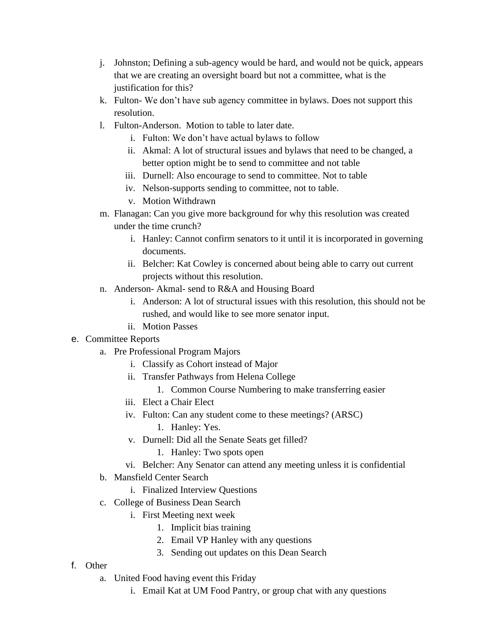- j. Johnston; Defining a sub-agency would be hard, and would not be quick, appears that we are creating an oversight board but not a committee, what is the justification for this?
- k. Fulton- We don't have sub agency committee in bylaws. Does not support this resolution.
- l. Fulton-Anderson. Motion to table to later date.
	- i. Fulton: We don't have actual bylaws to follow
	- ii. Akmal: A lot of structural issues and bylaws that need to be changed, a better option might be to send to committee and not table
	- iii. Durnell: Also encourage to send to committee. Not to table
	- iv. Nelson-supports sending to committee, not to table.
	- v. Motion Withdrawn
- m. Flanagan: Can you give more background for why this resolution was created under the time crunch?
	- i. Hanley: Cannot confirm senators to it until it is incorporated in governing documents.
	- ii. Belcher: Kat Cowley is concerned about being able to carry out current projects without this resolution.
- n. Anderson- Akmal- send to R&A and Housing Board
	- i. Anderson: A lot of structural issues with this resolution, this should not be rushed, and would like to see more senator input.
	- ii. Motion Passes

## e. Committee Reports

- a. Pre Professional Program Majors
	- i. Classify as Cohort instead of Major
	- ii. Transfer Pathways from Helena College
		- 1. Common Course Numbering to make transferring easier
	- iii. Elect a Chair Elect
	- iv. Fulton: Can any student come to these meetings? (ARSC)
		- 1. Hanley: Yes.
	- v. Durnell: Did all the Senate Seats get filled?
		- 1. Hanley: Two spots open
	- vi. Belcher: Any Senator can attend any meeting unless it is confidential
- b. Mansfield Center Search
	- i. Finalized Interview Questions
- c. College of Business Dean Search
	- i. First Meeting next week
		- 1. Implicit bias training
		- 2. Email VP Hanley with any questions
		- 3. Sending out updates on this Dean Search
- f. Other
	- a. United Food having event this Friday
		- i. Email Kat at UM Food Pantry, or group chat with any questions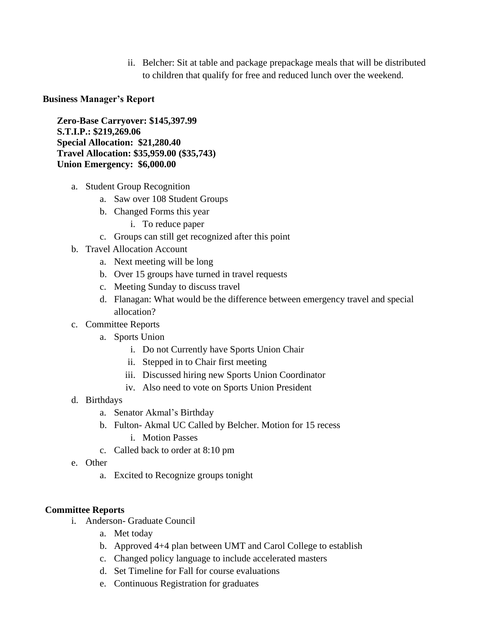ii. Belcher: Sit at table and package prepackage meals that will be distributed to children that qualify for free and reduced lunch over the weekend.

#### **Business Manager's Report**

**Zero-Base Carryover: \$145,397.99 S.T.I.P.: \$219,269.06 Special Allocation: \$21,280.40 Travel Allocation: \$35,959.00 (\$35,743) Union Emergency: \$6,000.00**

- a. Student Group Recognition
	- a. Saw over 108 Student Groups
	- b. Changed Forms this year
		- i. To reduce paper
	- c. Groups can still get recognized after this point
- b. Travel Allocation Account
	- a. Next meeting will be long
	- b. Over 15 groups have turned in travel requests
	- c. Meeting Sunday to discuss travel
	- d. Flanagan: What would be the difference between emergency travel and special allocation?
- c. Committee Reports
	- a. Sports Union
		- i. Do not Currently have Sports Union Chair
		- ii. Stepped in to Chair first meeting
		- iii. Discussed hiring new Sports Union Coordinator
		- iv. Also need to vote on Sports Union President
- d. Birthdays
	- a. Senator Akmal's Birthday
	- b. Fulton- Akmal UC Called by Belcher. Motion for 15 recess
		- i. Motion Passes
	- c. Called back to order at 8:10 pm
- e. Other
	- a. Excited to Recognize groups tonight

#### **Committee Reports**

- i. Anderson- Graduate Council
	- a. Met today
	- b. Approved 4+4 plan between UMT and Carol College to establish
	- c. Changed policy language to include accelerated masters
	- d. Set Timeline for Fall for course evaluations
	- e. Continuous Registration for graduates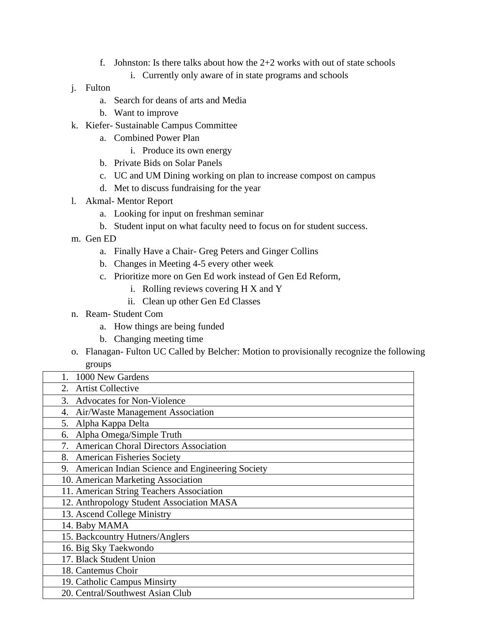- f. Johnston: Is there talks about how the  $2+2$  works with out of state schools
	- i. Currently only aware of in state programs and schools
- j. Fulton
	- a. Search for deans of arts and Media
	- b. Want to improve
- k. Kiefer- Sustainable Campus Committee
	- a. Combined Power Plan
		- i. Produce its own energy
	- b. Private Bids on Solar Panels
	- c. UC and UM Dining working on plan to increase compost on campus
	- d. Met to discuss fundraising for the year
- l. Akmal- Mentor Report
	- a. Looking for input on freshman seminar
	- b. Student input on what faculty need to focus on for student success.
- m. Gen ED
	- a. Finally Have a Chair- Greg Peters and Ginger Collins
	- b. Changes in Meeting 4-5 every other week
	- c. Prioritize more on Gen Ed work instead of Gen Ed Reform,
		- i. Rolling reviews covering H X and Y
		- ii. Clean up other Gen Ed Classes
- n. Ream- Student Com
	- a. How things are being funded
	- b. Changing meeting time
- o. Flanagan- Fulton UC Called by Belcher: Motion to provisionally recognize the following groups

| 5.04 <sub>P</sub>                                  |
|----------------------------------------------------|
| 1000 New Gardens                                   |
| <b>Artist Collective</b><br>2.                     |
| <b>Advocates for Non-Violence</b><br>3.            |
| Air/Waste Management Association<br>4.             |
| Alpha Kappa Delta<br>5.                            |
| Alpha Omega/Simple Truth<br>6.                     |
| <b>American Choral Directors Association</b><br>7. |
| 8. American Fisheries Society                      |
| 9. American Indian Science and Engineering Society |
| 10. American Marketing Association                 |
| 11. American String Teachers Association           |
| 12. Anthropology Student Association MASA          |
| 13. Ascend College Ministry                        |
| 14. Baby MAMA                                      |
| 15. Backcountry Hutners/Anglers                    |
| 16. Big Sky Taekwondo                              |
| 17. Black Student Union                            |
| 18. Cantemus Choir                                 |
| 19. Catholic Campus Minsirty                       |
| 20. Central/Southwest Asian Club                   |
|                                                    |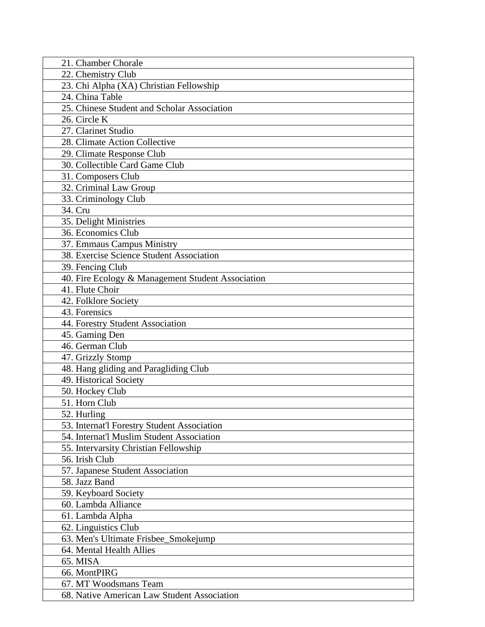| 21. Chamber Chorale                               |
|---------------------------------------------------|
| 22. Chemistry Club                                |
| 23. Chi Alpha (XA) Christian Fellowship           |
| 24. China Table                                   |
| 25. Chinese Student and Scholar Association       |
| 26. Circle K                                      |
| 27. Clarinet Studio                               |
| 28. Climate Action Collective                     |
| 29. Climate Response Club                         |
| 30. Collectible Card Game Club                    |
| 31. Composers Club                                |
| 32. Criminal Law Group                            |
| 33. Criminology Club                              |
| 34. Cru                                           |
| 35. Delight Ministries                            |
| 36. Economics Club                                |
| 37. Emmaus Campus Ministry                        |
| 38. Exercise Science Student Association          |
| 39. Fencing Club                                  |
| 40. Fire Ecology & Management Student Association |
| 41. Flute Choir                                   |
| 42. Folklore Society                              |
| 43. Forensics                                     |
| 44. Forestry Student Association                  |
| 45. Gaming Den                                    |
| 46. German Club                                   |
| 47. Grizzly Stomp                                 |
| 48. Hang gliding and Paragliding Club             |
| 49. Historical Society                            |
| 50. Hockey Club                                   |
| 51. Horn Club                                     |
| 52. Hurling                                       |
| 53. Internat'l Forestry Student Association       |
| 54. Internat'l Muslim Student Association         |
| 55. Intervarsity Christian Fellowship             |
| 56. Irish Club                                    |
| 57. Japanese Student Association                  |
| 58. Jazz Band                                     |
| 59. Keyboard Society                              |
| 60. Lambda Alliance                               |
| 61. Lambda Alpha                                  |
| 62. Linguistics Club                              |
| 63. Men's Ultimate Frisbee_Smokejump              |
| 64. Mental Health Allies                          |
| 65. MISA                                          |
| 66. MontPIRG                                      |
| 67. MT Woodsmans Team                             |
| 68. Native American Law Student Association       |
|                                                   |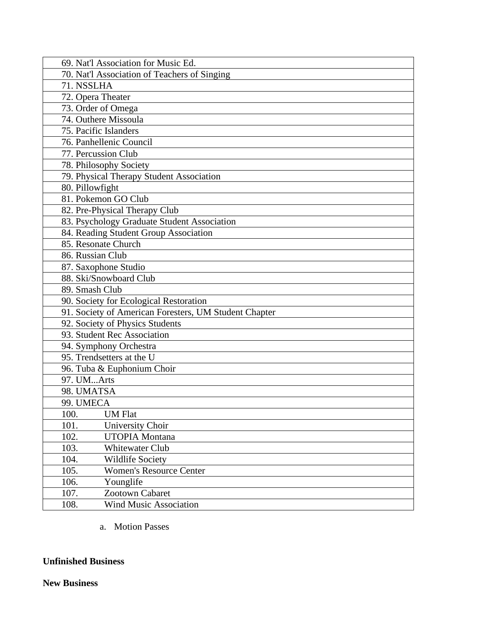| 69. Nat'l Association for Music Ed.                   |
|-------------------------------------------------------|
| 70. Nat'l Association of Teachers of Singing          |
| 71. NSSLHA                                            |
| 72. Opera Theater                                     |
| 73. Order of Omega                                    |
| 74. Outhere Missoula                                  |
| 75. Pacific Islanders                                 |
| 76. Panhellenic Council                               |
| 77. Percussion Club                                   |
| 78. Philosophy Society                                |
| 79. Physical Therapy Student Association              |
| 80. Pillowfight                                       |
| 81. Pokemon GO Club                                   |
| 82. Pre-Physical Therapy Club                         |
| 83. Psychology Graduate Student Association           |
| 84. Reading Student Group Association                 |
| 85. Resonate Church                                   |
| 86. Russian Club                                      |
| 87. Saxophone Studio                                  |
| 88. Ski/Snowboard Club                                |
| 89. Smash Club                                        |
| 90. Society for Ecological Restoration                |
| 91. Society of American Foresters, UM Student Chapter |
| 92. Society of Physics Students                       |
| 93. Student Rec Association                           |
| 94. Symphony Orchestra                                |
| 95. Trendsetters at the U                             |
| 96. Tuba & Euphonium Choir                            |
| 97. UMArts                                            |
| 98. UMATSA                                            |
| 99. UMECA                                             |
| 100.<br><b>UM Flat</b>                                |
| 101.<br>University Choir                              |
| 102.<br><b>UTOPIA Montana</b>                         |
| 103.<br><b>Whitewater Club</b>                        |
| 104.<br><b>Wildlife Society</b>                       |
| 105.<br><b>Women's Resource Center</b>                |
| Younglife<br>106.                                     |
| Zootown Cabaret<br>107.                               |
| 108.<br><b>Wind Music Association</b>                 |

a. Motion Passes

### **Unfinished Business**

#### **New Business**